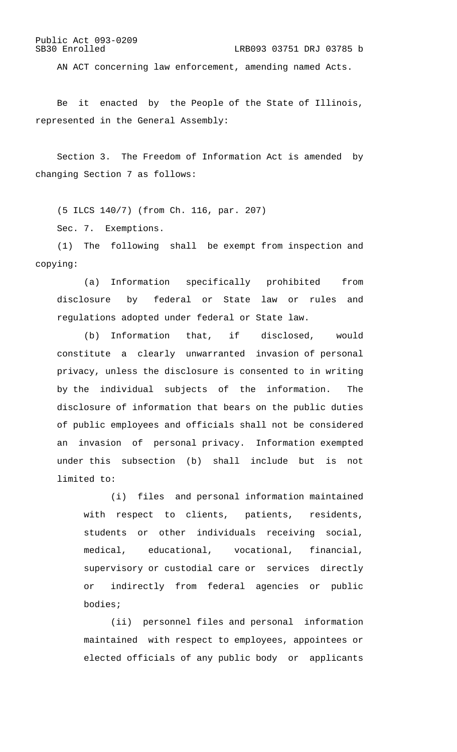LRB093 03751 DRJ 03785 b

AN ACT concerning law enforcement, amending named Acts.

Be it enacted by the People of the State of Illinois, represented in the General Assembly:

Section 3. The Freedom of Information Act is amended by changing Section 7 as follows:

(5 ILCS 140/7) (from Ch. 116, par. 207) Sec. 7. Exemptions.

(1) The following shall be exempt from inspection and copying:

(a) Information specifically prohibited from disclosure by federal or State law or rules and regulations adopted under federal or State law.

(b) Information that, if disclosed, would constitute a clearly unwarranted invasion of personal privacy, unless the disclosure is consented to in writing by the individual subjects of the information. The disclosure of information that bears on the public duties of public employees and officials shall not be considered an invasion of personal privacy. Information exempted under this subsection (b) shall include but is not limited to:

(i) files and personal information maintained with respect to clients, patients, residents, students or other individuals receiving social, medical, educational, vocational, financial, supervisory or custodial care or services directly or indirectly from federal agencies or public bodies;

(ii) personnel files and personal information maintained with respect to employees, appointees or elected officials of any public body or applicants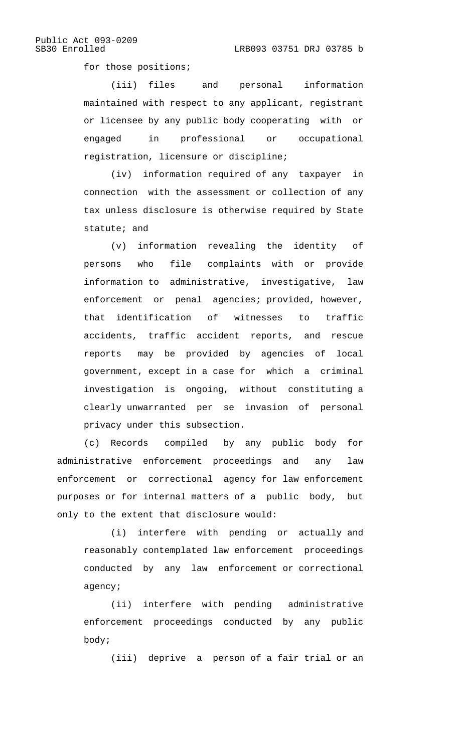for those positions;

(iii) files and personal information maintained with respect to any applicant, registrant or licensee by any public body cooperating with or engaged in professional or occupational registration, licensure or discipline;

(iv) information required of any taxpayer in connection with the assessment or collection of any tax unless disclosure is otherwise required by State statute; and

(v) information revealing the identity of persons who file complaints with or provide information to administrative, investigative, law enforcement or penal agencies; provided, however, that identification of witnesses to traffic accidents, traffic accident reports, and rescue reports may be provided by agencies of local government, except in a case for which a criminal investigation is ongoing, without constituting a clearly unwarranted per se invasion of personal privacy under this subsection.

(c) Records compiled by any public body for administrative enforcement proceedings and any law enforcement or correctional agency for law enforcement purposes or for internal matters of a public body, but only to the extent that disclosure would:

(i) interfere with pending or actually and reasonably contemplated law enforcement proceedings conducted by any law enforcement or correctional agency;

(ii) interfere with pending administrative enforcement proceedings conducted by any public body;

(iii) deprive a person of a fair trial or an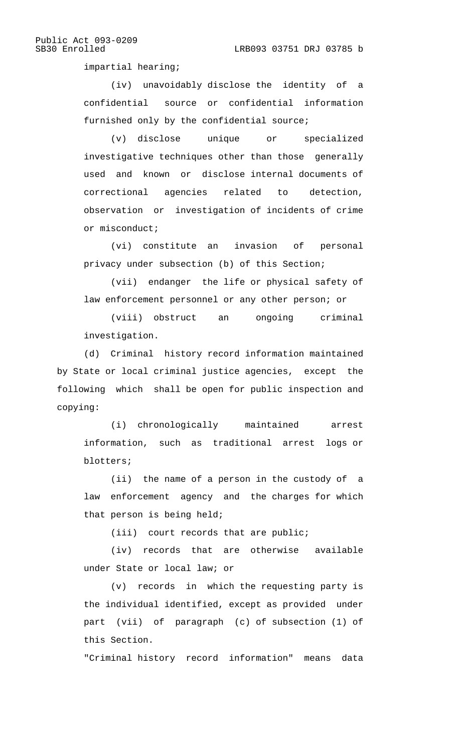impartial hearing;

(iv) unavoidably disclose the identity of a confidential source or confidential information furnished only by the confidential source;

(v) disclose unique or specialized investigative techniques other than those generally used and known or disclose internal documents of correctional agencies related to detection, observation or investigation of incidents of crime or misconduct;

(vi) constitute an invasion of personal privacy under subsection (b) of this Section;

(vii) endanger the life or physical safety of law enforcement personnel or any other person; or

(viii) obstruct an ongoing criminal investigation.

(d) Criminal history record information maintained by State or local criminal justice agencies, except the following which shall be open for public inspection and copying:

(i) chronologically maintained arrest information, such as traditional arrest logs or blotters;

(ii) the name of a person in the custody of a law enforcement agency and the charges for which that person is being held;

(iii) court records that are public;

(iv) records that are otherwise available under State or local law; or

(v) records in which the requesting party is the individual identified, except as provided under part (vii) of paragraph (c) of subsection (1) of this Section.

"Criminal history record information" means data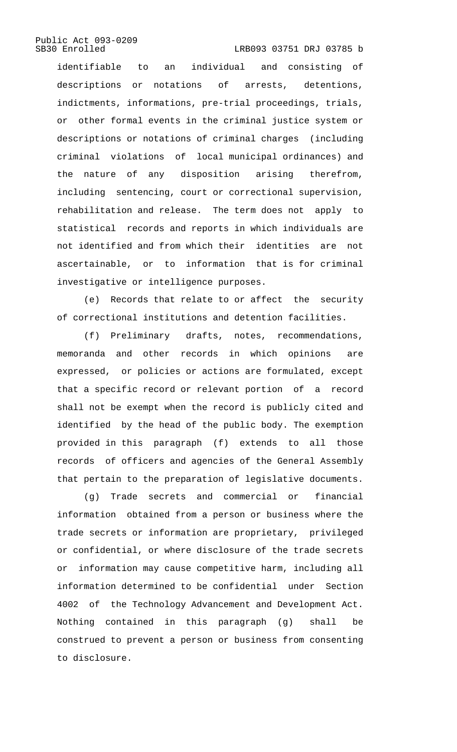LRB093 03751 DRJ 03785 b

identifiable to an individual and consisting of descriptions or notations of arrests, detentions, indictments, informations, pre-trial proceedings, trials, or other formal events in the criminal justice system or descriptions or notations of criminal charges (including criminal violations of local municipal ordinances) and the nature of any disposition arising therefrom, including sentencing, court or correctional supervision, rehabilitation and release. The term does not apply to statistical records and reports in which individuals are not identified and from which their identities are not ascertainable, or to information that is for criminal investigative or intelligence purposes.

(e) Records that relate to or affect the security of correctional institutions and detention facilities.

(f) Preliminary drafts, notes, recommendations, memoranda and other records in which opinions are expressed, or policies or actions are formulated, except that a specific record or relevant portion of a record shall not be exempt when the record is publicly cited and identified by the head of the public body. The exemption provided in this paragraph (f) extends to all those records of officers and agencies of the General Assembly that pertain to the preparation of legislative documents.

(g) Trade secrets and commercial or financial information obtained from a person or business where the trade secrets or information are proprietary, privileged or confidential, or where disclosure of the trade secrets or information may cause competitive harm, including all information determined to be confidential under Section 4002 of the Technology Advancement and Development Act. Nothing contained in this paragraph (g) shall be construed to prevent a person or business from consenting to disclosure.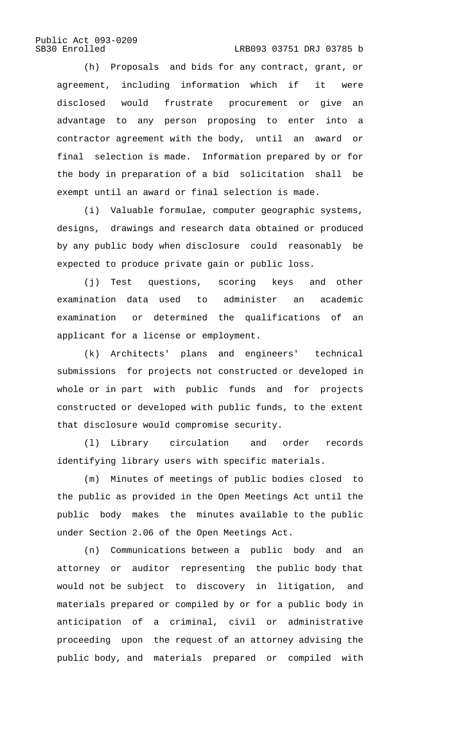LRB093 03751 DRJ 03785 b

(h) Proposals and bids for any contract, grant, or agreement, including information which if it were disclosed would frustrate procurement or give an advantage to any person proposing to enter into a contractor agreement with the body, until an award or final selection is made. Information prepared by or for the body in preparation of a bid solicitation shall be exempt until an award or final selection is made.

(i) Valuable formulae, computer geographic systems, designs, drawings and research data obtained or produced by any public body when disclosure could reasonably be expected to produce private gain or public loss.

(j) Test questions, scoring keys and other examination data used to administer an academic examination or determined the qualifications of an applicant for a license or employment.

(k) Architects' plans and engineers' technical submissions for projects not constructed or developed in whole or in part with public funds and for projects constructed or developed with public funds, to the extent that disclosure would compromise security.

(l) Library circulation and order records identifying library users with specific materials.

(m) Minutes of meetings of public bodies closed to the public as provided in the Open Meetings Act until the public body makes the minutes available to the public under Section 2.06 of the Open Meetings Act.

(n) Communications between a public body and an attorney or auditor representing the public body that would not be subject to discovery in litigation, and materials prepared or compiled by or for a public body in anticipation of a criminal, civil or administrative proceeding upon the request of an attorney advising the public body, and materials prepared or compiled with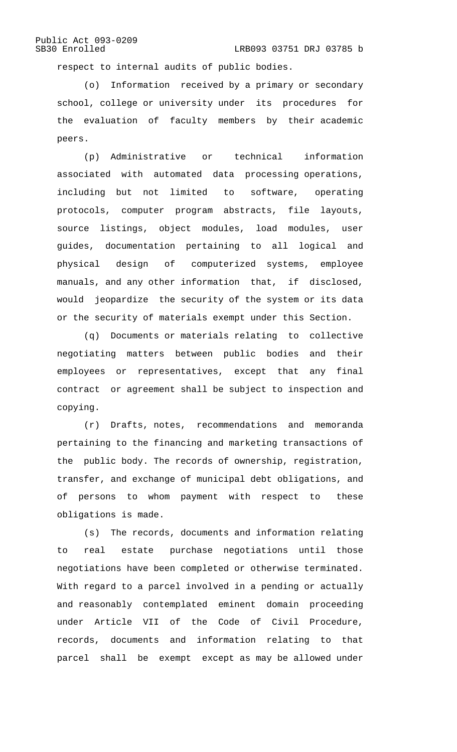respect to internal audits of public bodies.

(o) Information received by a primary or secondary school, college or university under its procedures for the evaluation of faculty members by their academic peers.

(p) Administrative or technical information associated with automated data processing operations, including but not limited to software, operating protocols, computer program abstracts, file layouts, source listings, object modules, load modules, user guides, documentation pertaining to all logical and physical design of computerized systems, employee manuals, and any other information that, if disclosed, would jeopardize the security of the system or its data or the security of materials exempt under this Section.

(q) Documents or materials relating to collective negotiating matters between public bodies and their employees or representatives, except that any final contract or agreement shall be subject to inspection and copying.

(r) Drafts, notes, recommendations and memoranda pertaining to the financing and marketing transactions of the public body. The records of ownership, registration, transfer, and exchange of municipal debt obligations, and of persons to whom payment with respect to these obligations is made.

(s) The records, documents and information relating to real estate purchase negotiations until those negotiations have been completed or otherwise terminated. With regard to a parcel involved in a pending or actually and reasonably contemplated eminent domain proceeding under Article VII of the Code of Civil Procedure, records, documents and information relating to that parcel shall be exempt except as may be allowed under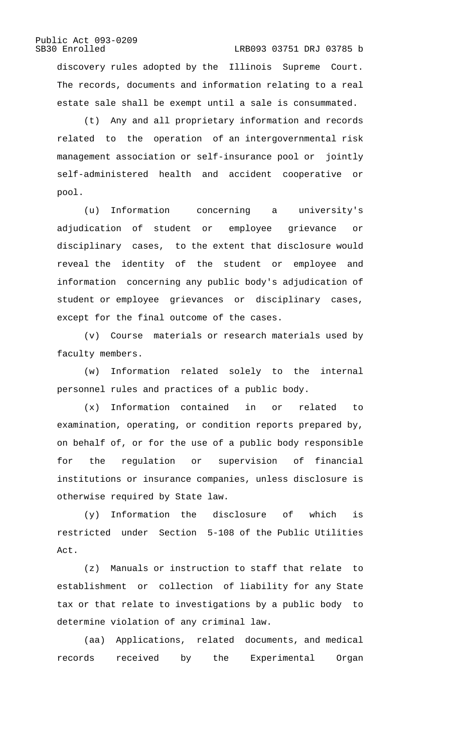discovery rules adopted by the Illinois Supreme Court. The records, documents and information relating to a real estate sale shall be exempt until a sale is consummated.

LRB093 03751 DRJ 03785 b

(t) Any and all proprietary information and records related to the operation of an intergovernmental risk management association or self-insurance pool or jointly self-administered health and accident cooperative or pool.

(u) Information concerning a university's adjudication of student or employee grievance or disciplinary cases, to the extent that disclosure would reveal the identity of the student or employee and information concerning any public body's adjudication of student or employee grievances or disciplinary cases, except for the final outcome of the cases.

(v) Course materials or research materials used by faculty members.

(w) Information related solely to the internal personnel rules and practices of a public body.

(x) Information contained in or related to examination, operating, or condition reports prepared by, on behalf of, or for the use of a public body responsible for the regulation or supervision of financial institutions or insurance companies, unless disclosure is otherwise required by State law.

(y) Information the disclosure of which is restricted under Section 5-108 of the Public Utilities Act.

(z) Manuals or instruction to staff that relate to establishment or collection of liability for any State tax or that relate to investigations by a public body to determine violation of any criminal law.

(aa) Applications, related documents, and medical records received by the Experimental Organ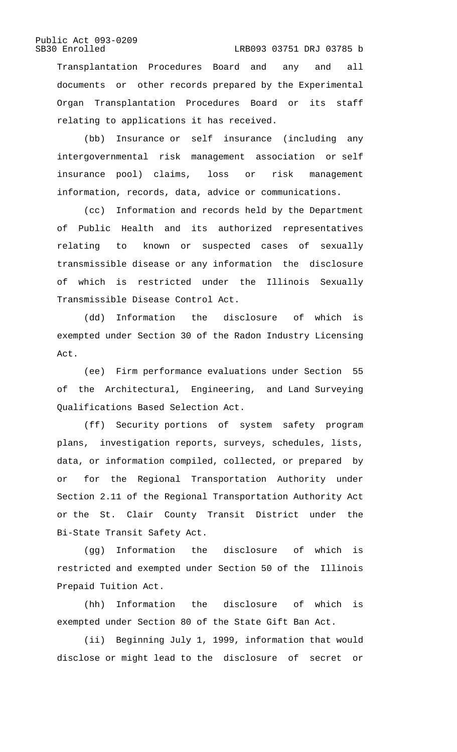### LRB093 03751 DRJ 03785 b

Transplantation Procedures Board and any and all documents or other records prepared by the Experimental Organ Transplantation Procedures Board or its staff relating to applications it has received.

(bb) Insurance or self insurance (including any intergovernmental risk management association or self insurance pool) claims, loss or risk management information, records, data, advice or communications.

(cc) Information and records held by the Department of Public Health and its authorized representatives relating to known or suspected cases of sexually transmissible disease or any information the disclosure of which is restricted under the Illinois Sexually Transmissible Disease Control Act.

(dd) Information the disclosure of which is exempted under Section 30 of the Radon Industry Licensing Act.

(ee) Firm performance evaluations under Section 55 of the Architectural, Engineering, and Land Surveying Qualifications Based Selection Act.

(ff) Security portions of system safety program plans, investigation reports, surveys, schedules, lists, data, or information compiled, collected, or prepared by or for the Regional Transportation Authority under Section 2.11 of the Regional Transportation Authority Act or the St. Clair County Transit District under the Bi-State Transit Safety Act.

(gg) Information the disclosure of which is restricted and exempted under Section 50 of the Illinois Prepaid Tuition Act.

(hh) Information the disclosure of which is exempted under Section 80 of the State Gift Ban Act.

(ii) Beginning July 1, 1999, information that would disclose or might lead to the disclosure of secret or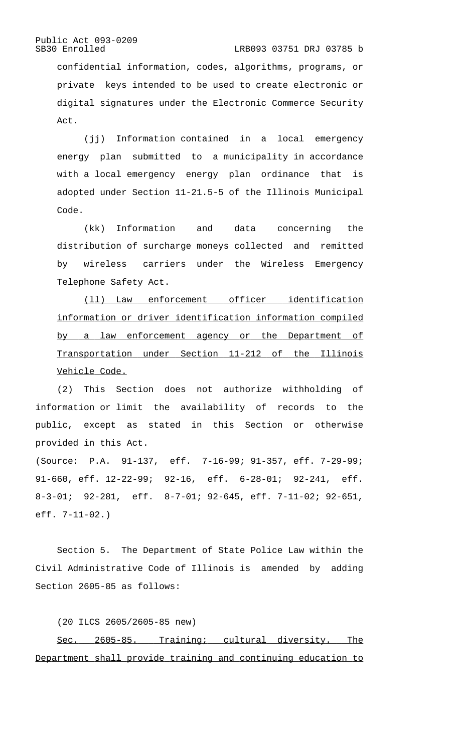#### LRB093 03751 DRJ 03785 b

confidential information, codes, algorithms, programs, or private keys intended to be used to create electronic or digital signatures under the Electronic Commerce Security Act.

(jj) Information contained in a local emergency energy plan submitted to a municipality in accordance with a local emergency energy plan ordinance that is adopted under Section 11-21.5-5 of the Illinois Municipal Code.

(kk) Information and data concerning the distribution of surcharge moneys collected and remitted by wireless carriers under the Wireless Emergency Telephone Safety Act.

(11) Law enforcement officer identification information or driver identification information compiled by a law enforcement agency or the Department of Transportation under Section 11-212 of the Illinois Vehicle Code.

(2) This Section does not authorize withholding of information or limit the availability of records to the public, except as stated in this Section or otherwise provided in this Act.

(Source: P.A. 91-137, eff. 7-16-99; 91-357, eff. 7-29-99; 91-660, eff. 12-22-99; 92-16, eff. 6-28-01; 92-241, eff. 8-3-01; 92-281, eff. 8-7-01; 92-645, eff. 7-11-02; 92-651, eff. 7-11-02.)

Section 5. The Department of State Police Law within the Civil Administrative Code of Illinois is amended by adding Section 2605-85 as follows:

(20 ILCS 2605/2605-85 new)

Sec. 2605-85. Training; cultural diversity. The Department shall provide training and continuing education to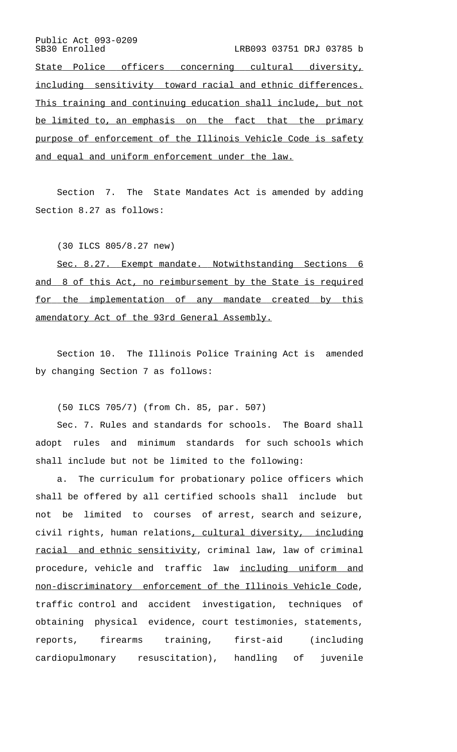Public Act 093-0209<br>SB30 Enrolled LRB093 03751 DRJ 03785 b State Police officers concerning cultural diversity, including sensitivity toward racial and ethnic differences. This training and continuing education shall include, but not be limited to, an emphasis on the fact that the primary purpose of enforcement of the Illinois Vehicle Code is safety and equal and uniform enforcement under the law.

Section 7. The State Mandates Act is amended by adding Section 8.27 as follows:

(30 ILCS 805/8.27 new)

Sec. 8.27. Exempt mandate. Notwithstanding Sections 6 and 8 of this Act, no reimbursement by the State is required for the implementation of any mandate created by this amendatory Act of the 93rd General Assembly.

Section 10. The Illinois Police Training Act is amended by changing Section 7 as follows:

(50 ILCS 705/7) (from Ch. 85, par. 507)

Sec. 7. Rules and standards for schools. The Board shall adopt rules and minimum standards for such schools which shall include but not be limited to the following:

a. The curriculum for probationary police officers which shall be offered by all certified schools shall include but not be limited to courses of arrest, search and seizure, civil rights, human relations, cultural diversity, including racial and ethnic sensitivity, criminal law, law of criminal procedure, vehicle and traffic law including uniform and non-discriminatory enforcement of the Illinois Vehicle Code, traffic control and accident investigation, techniques of obtaining physical evidence, court testimonies, statements, reports, firearms training, first-aid (including cardiopulmonary resuscitation), handling of juvenile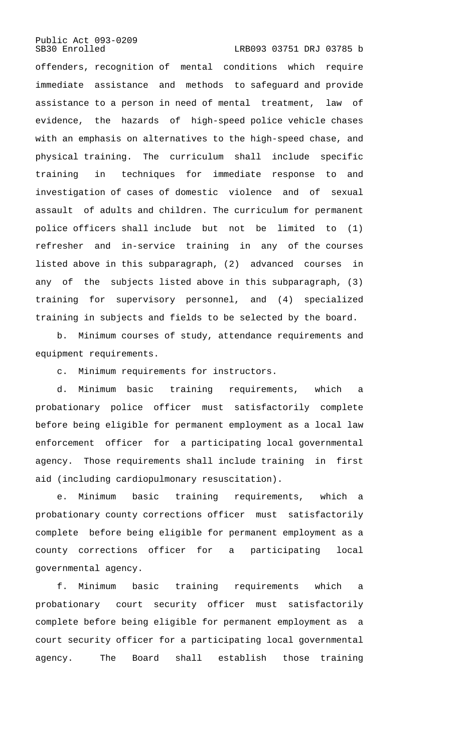LRB093 03751 DRJ 03785 b

offenders, recognition of mental conditions which require immediate assistance and methods to safeguard and provide assistance to a person in need of mental treatment, law of evidence, the hazards of high-speed police vehicle chases with an emphasis on alternatives to the high-speed chase, and physical training. The curriculum shall include specific training in techniques for immediate response to and investigation of cases of domestic violence and of sexual assault of adults and children. The curriculum for permanent police officers shall include but not be limited to (1) refresher and in-service training in any of the courses listed above in this subparagraph, (2) advanced courses in any of the subjects listed above in this subparagraph, (3) training for supervisory personnel, and (4) specialized training in subjects and fields to be selected by the board.

b. Minimum courses of study, attendance requirements and equipment requirements.

c. Minimum requirements for instructors.

d. Minimum basic training requirements, which a probationary police officer must satisfactorily complete before being eligible for permanent employment as a local law enforcement officer for a participating local governmental agency. Those requirements shall include training in first aid (including cardiopulmonary resuscitation).

e. Minimum basic training requirements, which a probationary county corrections officer must satisfactorily complete before being eligible for permanent employment as a county corrections officer for a participating local governmental agency.

f. Minimum basic training requirements which a probationary court security officer must satisfactorily complete before being eligible for permanent employment as a court security officer for a participating local governmental agency. The Board shall establish those training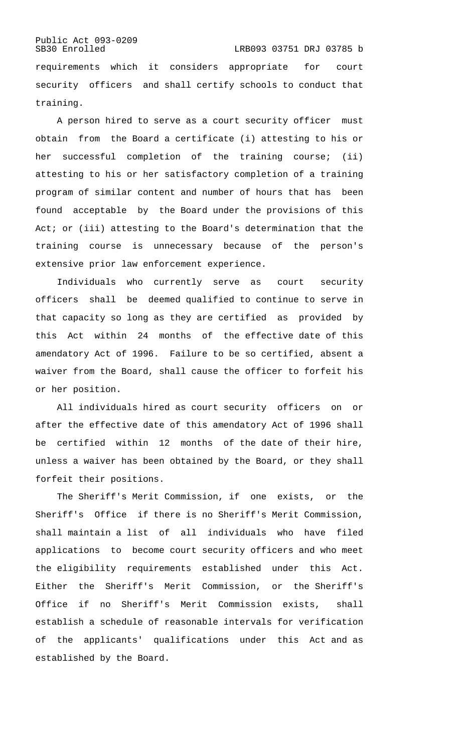### Public Act 093-0209<br>SB30 Enrolled LRB093 03751 DRJ 03785 b requirements which it considers appropriate for court security officers and shall certify schools to conduct that training.

A person hired to serve as a court security officer must obtain from the Board a certificate (i) attesting to his or her successful completion of the training course; (ii) attesting to his or her satisfactory completion of a training program of similar content and number of hours that has been found acceptable by the Board under the provisions of this Act; or (iii) attesting to the Board's determination that the training course is unnecessary because of the person's extensive prior law enforcement experience.

Individuals who currently serve as court security officers shall be deemed qualified to continue to serve in that capacity so long as they are certified as provided by this Act within 24 months of the effective date of this amendatory Act of 1996. Failure to be so certified, absent a waiver from the Board, shall cause the officer to forfeit his or her position.

All individuals hired as court security officers on or after the effective date of this amendatory Act of 1996 shall be certified within 12 months of the date of their hire, unless a waiver has been obtained by the Board, or they shall forfeit their positions.

The Sheriff's Merit Commission, if one exists, or the Sheriff's Office if there is no Sheriff's Merit Commission, shall maintain a list of all individuals who have filed applications to become court security officers and who meet the eligibility requirements established under this Act. Either the Sheriff's Merit Commission, or the Sheriff's Office if no Sheriff's Merit Commission exists, shall establish a schedule of reasonable intervals for verification of the applicants' qualifications under this Act and as established by the Board.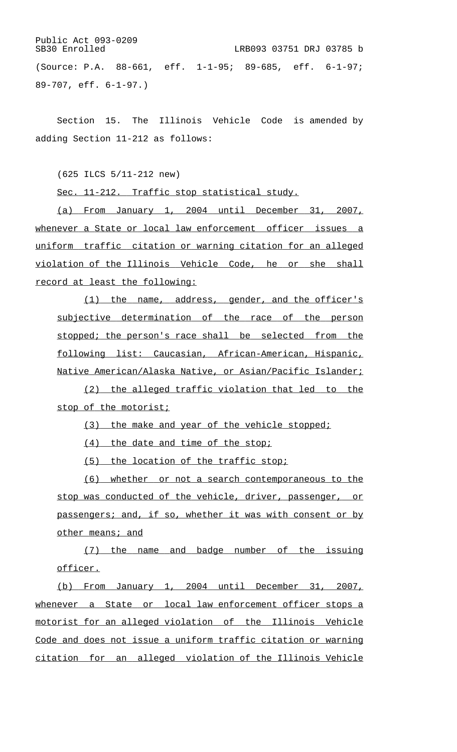Public Act 093-0209<br>SB30 Enrolled LRB093 03751 DRJ 03785 b (Source: P.A. 88-661, eff. 1-1-95; 89-685, eff. 6-1-97; 89-707, eff. 6-1-97.)

Section 15. The Illinois Vehicle Code is amended by adding Section 11-212 as follows:

(625 ILCS 5/11-212 new)

Sec. 11-212. Traffic stop statistical study.

(a) From January 1, 2004 until December 31, 2007, whenever a State or local law enforcement officer issues a uniform traffic citation or warning citation for an alleged violation of the Illinois Vehicle Code, he or she shall record at least the following:

(1) the name, address, gender, and the officer's subjective determination of the race of the person stopped; the person's race shall be selected from the following list: Caucasian, African-American, Hispanic, Native American/Alaska Native, or Asian/Pacific Islander;

(2) the alleged traffic violation that led to the stop of the motorist;

(3) the make and year of the vehicle stopped;

 $(4)$  the date and time of the stop;

(5) the location of the traffic stop;

(6) whether or not a search contemporaneous to the stop was conducted of the vehicle, driver, passenger, or passengers; and, if so, whether it was with consent or by other means; and

(7) the name and badge number of the issuing officer.

(b) From January 1, 2004 until December 31, 2007, whenever a State or local law enforcement officer stops a motorist for an alleged violation of the Illinois Vehicle Code and does not issue a uniform traffic citation or warning citation for an alleged violation of the Illinois Vehicle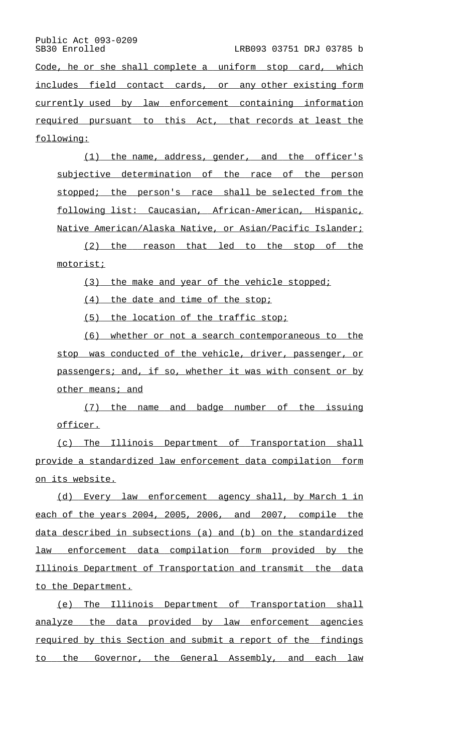LRB093 03751 DRJ 03785 b

Code, he or she shall complete a uniform stop card, which includes field contact cards, or any other existing form currently used by law enforcement containing information required pursuant to this Act, that records at least the following:

(1) the name, address, gender, and the officer's subjective determination of the race of the person stopped; the person's race shall be selected from the following list: Caucasian, African-American, Hispanic, Native American/Alaska Native, or Asian/Pacific Islander;

(2) the reason that led to the stop of the motorist;

(3) the make and year of the vehicle stopped;

 $(4)$  the date and time of the stop;

(5) the location of the traffic stop;

(6) whether or not a search contemporaneous to the stop was conducted of the vehicle, driver, passenger, or passengers; and, if so, whether it was with consent or by other means; and

(7) the name and badge number of the issuing officer.

(c) The Illinois Department of Transportation shall provide a standardized law enforcement data compilation form on its website.

(d) Every law enforcement agency shall, by March 1 in each of the years 2004, 2005, 2006, and 2007, compile the data described in subsections (a) and (b) on the standardized law enforcement data compilation form provided by the Illinois Department of Transportation and transmit the data to the Department.

(e) The Illinois Department of Transportation shall analyze the data provided by law enforcement agencies required by this Section and submit a report of the findings to the Governor, the General Assembly, and each law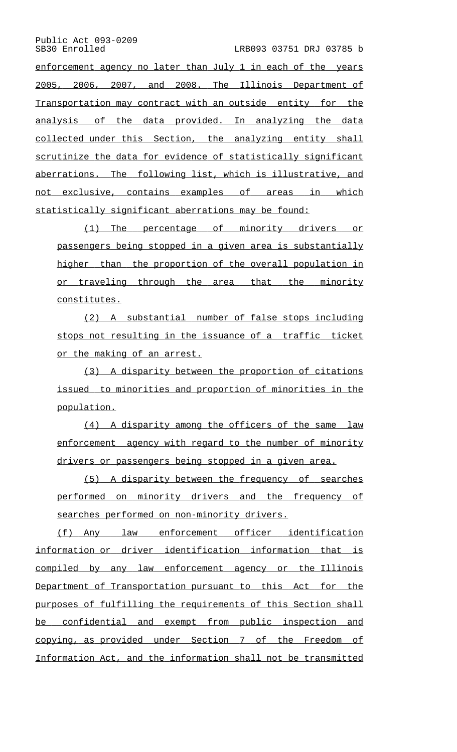LRB093 03751 DRJ 03785 b

enforcement agency no later than July 1 in each of the years 2005, 2006, 2007, and 2008. The Illinois Department of Transportation may contract with an outside entity for the analysis of the data provided. In analyzing the data collected under this Section, the analyzing entity shall scrutinize the data for evidence of statistically significant aberrations. The following list, which is illustrative, and not exclusive, contains examples of areas in which statistically significant aberrations may be found:

(1) The percentage of minority drivers or passengers being stopped in a given area is substantially higher than the proportion of the overall population in or traveling through the area that the minority constitutes.

(2) A substantial number of false stops including stops not resulting in the issuance of a traffic ticket or the making of an arrest.

(3) A disparity between the proportion of citations issued to minorities and proportion of minorities in the population.

(4) A disparity among the officers of the same law enforcement agency with regard to the number of minority drivers or passengers being stopped in a given area.

 $(5)$  A disparity between the frequency of searches performed on minority drivers and the frequency of searches performed on non-minority drivers.

(f) Any law enforcement officer identification information or driver identification information that is compiled by any law enforcement agency or the Illinois Department of Transportation pursuant to this Act for the purposes of fulfilling the requirements of this Section shall be confidential and exempt from public inspection and copying, as provided under Section 7 of the Freedom of Information Act, and the information shall not be transmitted